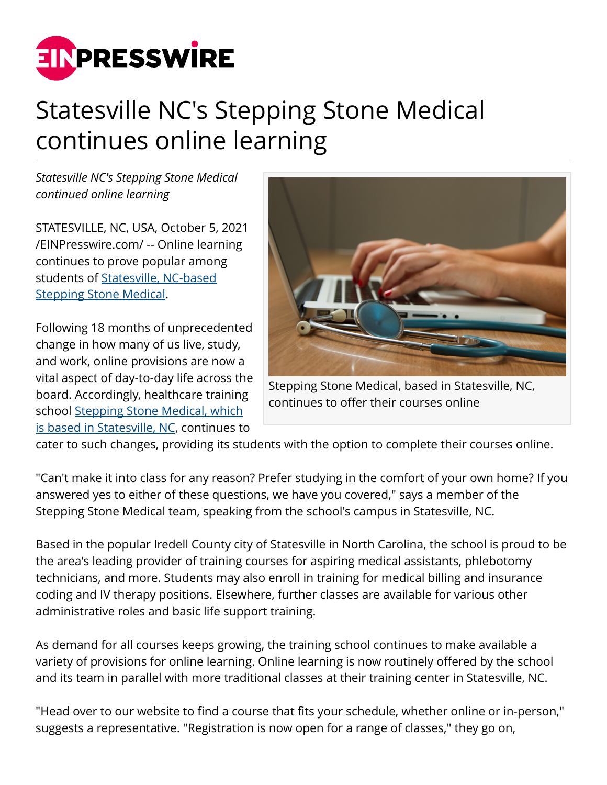

## Statesville NC's Stepping Stone Medical continues online learning

*Statesville NC's Stepping Stone Medical continued online learning*

STATESVILLE, NC, USA, October 5, 2021 [/EINPresswire.com/](http://www.einpresswire.com) -- Online learning continues to prove popular among students of [Statesville, NC-based](https://www.alignable.com/statesville-nc/stepping-stone-medical) [Stepping Stone Medical.](https://www.alignable.com/statesville-nc/stepping-stone-medical)

Following 18 months of unprecedented change in how many of us live, study, and work, online provisions are now a vital aspect of day-to-day life across the board. Accordingly, healthcare training school [Stepping Stone Medical, which](https://www.crunchbase.com/organization/stepping-stone-medical-statesville-nc) [is based in Statesville, NC,](https://www.crunchbase.com/organization/stepping-stone-medical-statesville-nc) continues to



Stepping Stone Medical, based in Statesville, NC, continues to offer their courses online

cater to such changes, providing its students with the option to complete their courses online.

"Can't make it into class for any reason? Prefer studying in the comfort of your own home? If you answered yes to either of these questions, we have you covered," says a member of the Stepping Stone Medical team, speaking from the school's campus in Statesville, NC.

Based in the popular Iredell County city of Statesville in North Carolina, the school is proud to be the area's leading provider of training courses for aspiring medical assistants, phlebotomy technicians, and more. Students may also enroll in training for medical billing and insurance coding and IV therapy positions. Elsewhere, further classes are available for various other administrative roles and basic life support training.

As demand for all courses keeps growing, the training school continues to make available a variety of provisions for online learning. Online learning is now routinely offered by the school and its team in parallel with more traditional classes at their training center in Statesville, NC.

"Head over to our website to find a course that fits your schedule, whether online or in-person," suggests a representative. "Registration is now open for a range of classes," they go on,